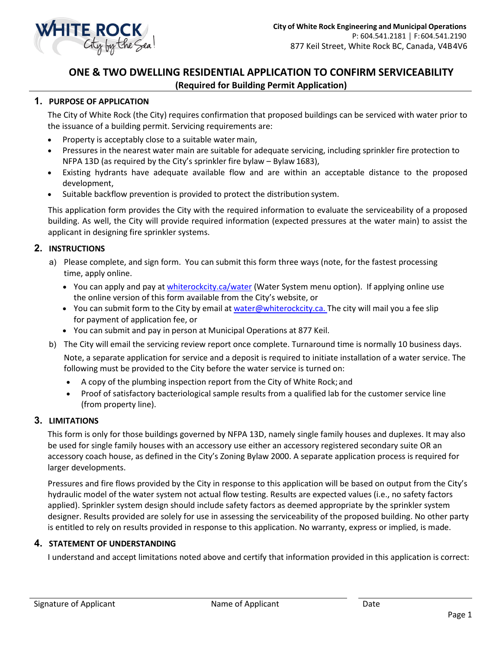

# **ONE & TWO DWELLING RESIDENTIAL APPLICATION TO CONFIRM SERVICEABILITY (Required for Building Permit Application)**

## **1. PURPOSE OF APPLICATION**

The City of White Rock (the City) requires confirmation that proposed buildings can be serviced with water prior to the issuance of a building permit. Servicing requirements are:

- Property is acceptably close to a suitable water main,
- Pressures in the nearest water main are suitable for adequate servicing, including sprinkler fire protection to NFPA 13D (as required by the City's sprinkler fire bylaw – Bylaw 1683),
- Existing hydrants have adequate available flow and are within an acceptable distance to the proposed development,
- Suitable backflow prevention is provided to protect the distribution system.

This application form provides the City with the required information to evaluate the serviceability of a proposed building. As well, the City will provide required information (expected pressures at the water main) to assist the applicant in designing fire sprinkler systems.

#### **2. INSTRUCTIONS**

- a) Please complete, and sign form. You can submit this form three ways (note, for the fastest processing time, apply online.
	- You can apply and pay a[t whiterockcity.ca/water](http://www.whiterockcity.ca/water) (Water System menu option). If applying online use the online version of this form available from the City's website, or
	- You can submit form to the City by email at [water@whiterockcity.ca.](mailto:water@whiterockcity.ca) The city will mail you a fee slip for payment of application fee, or
	- You can submit and pay in person at Municipal Operations at 877 Keil.
- b) The City will email the servicing review report once complete. Turnaround time is normally 10 business days.

Note, a separate application for service and a deposit is required to initiate installation of a water service. The following must be provided to the City before the water service is turned on:

- A copy of the plumbing inspection report from the City of White Rock; and
- Proof of satisfactory bacteriological sample results from a qualified lab for the customer service line (from property line).

## **3. LIMITATIONS**

This form is only for those buildings governed by NFPA 13D, namely single family houses and duplexes. It may also be used for single family houses with an accessory use either an accessory registered secondary suite OR an accessory coach house, as defined in the City's Zoning Bylaw 2000. A separate application process is required for larger developments.

Pressures and fire flows provided by the City in response to this application will be based on output from the City's hydraulic model of the water system not actual flow testing. Results are expected values (i.e., no safety factors applied). Sprinkler system design should include safety factors as deemed appropriate by the sprinkler system designer. Results provided are solely for use in assessing the serviceability of the proposed building. No other party is entitled to rely on results provided in response to this application. No warranty, express or implied, is made.

#### **4. STATEMENT OF UNDERSTANDING**

I understand and accept limitations noted above and certify that information provided in this application is correct: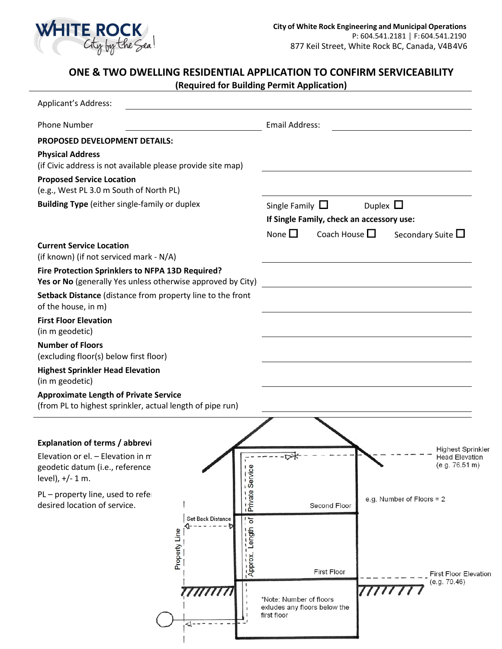

# **ONE & TWO DWELLING RESIDENTIAL APPLICATION TO CONFIRM SERVICEABILITY**

**(Required for Building Permit Application)**

| Applicant's Address:                                                                                                                           |                                                                        |
|------------------------------------------------------------------------------------------------------------------------------------------------|------------------------------------------------------------------------|
| <b>Phone Number</b>                                                                                                                            | <b>Email Address:</b>                                                  |
| <b>PROPOSED DEVELOPMENT DETAILS:</b>                                                                                                           |                                                                        |
| <b>Physical Address</b><br>(if Civic address is not available please provide site map)                                                         |                                                                        |
| <b>Proposed Service Location</b>                                                                                                               |                                                                        |
| (e.g., West PL 3.0 m South of North PL)                                                                                                        |                                                                        |
| <b>Building Type</b> (either single-family or duplex                                                                                           | Single Family $\Box$<br>Duplex $\Box$                                  |
|                                                                                                                                                | If Single Family, check an accessory use:                              |
| <b>Current Service Location</b>                                                                                                                | None $\square$<br>Coach House $\square$<br>Secondary Suite $\Box$      |
| (if known) (if not serviced mark - N/A)                                                                                                        |                                                                        |
| Fire Protection Sprinklers to NFPA 13D Required?                                                                                               |                                                                        |
| Yes or No (generally Yes unless otherwise approved by City)                                                                                    |                                                                        |
| Setback Distance (distance from property line to the front<br>of the house, in m)                                                              |                                                                        |
| <b>First Floor Elevation</b><br>(in m geodetic)                                                                                                |                                                                        |
| <b>Number of Floors</b><br>(excluding floor(s) below first floor)                                                                              |                                                                        |
| <b>Highest Sprinkler Head Elevation</b><br>(in m geodetic)                                                                                     |                                                                        |
| <b>Approximate Length of Private Service</b><br>(from PL to highest sprinkler, actual length of pipe run)                                      |                                                                        |
|                                                                                                                                                |                                                                        |
|                                                                                                                                                |                                                                        |
| <b>Explanation of terms / abbrevi</b><br>Elevation or el. - Elevation in m<br>geodetic datum (i.e., reference<br>Service<br>level), $+/- 1$ m. | Highest Sprinkler<br><b>Head Elevation</b><br>(e.g. 76.51 m)           |
| Private:<br>PL - property line, used to refe<br>desired location of service.                                                                   | e.g. Number of Floors = 2<br>Second Floor                              |
| Set Back Distance<br>់ តែ<br>Length<br>Property Line<br>Approx.                                                                                | <b>First Floor</b><br><b>First Floor Elevation</b><br>(e.g. 70.46)     |
|                                                                                                                                                | *Note: Number of floors<br>exludes any floors below the<br>first floor |